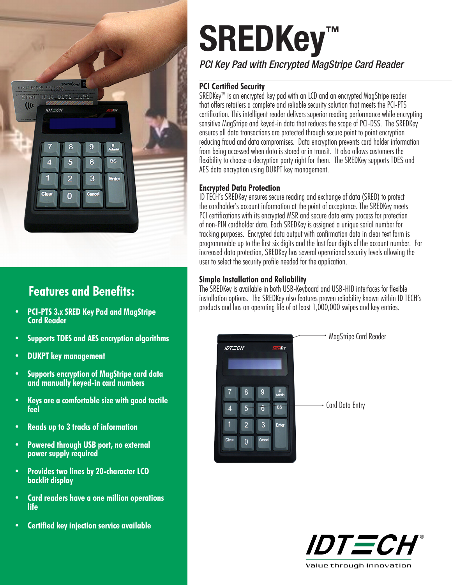

# **Features and Benefits:**

- **• PCI-PTS 3.x SRED Key Pad and MagStripe Card Reader**
- **• Supports TDES and AES encryption algorithms**
- **• DUKPT key management**
- **• Supports encryption of MagStripe card data and manually keyed-in card numbers**
- **• Keys are a comfortable size with good tactile feel**
- **• Reads up to 3 tracks of information**
- **• Powered through USB port, no external power supply required**
- **• Provides two lines by 20-character LCD backlit display**
- **• Card readers have a one million operations life**
- **• Certified key injection service available**

# **SREDKey™**

*PCI Key Pad with Encrypted MagStripe Card Reader*

#### **PCI Certified Security**

SREDKey™ is an encrypted key pad with an LCD and an encrypted MagStripe reader that offers retailers a complete and reliable security solution that meets the PCI-PTS certification. This intelligent reader delivers superior reading performance while encrypting sensitive MagStripe and keyed-in data that reduces the scope of PCI-DSS. The SREDKey ensures all data transactions are protected through secure point to point encryption reducing fraud and data compromises. Data encryption prevents card holder information from being accessed when data is stored or in transit. It also allows customers the flexibility to choose a decryption party right for them. The SREDKey supports TDES and AES data encryption using DUKPT key management.

#### **Encrypted Data Protection**

ID TECH's SREDKey ensures secure reading and exchange of data (SRED) to protect the cardholder's account information at the point of acceptance. The SREDKey meets PCI certifications with its encrypted MSR and secure data entry process for protection of non-PIN cardholder data. Each SREDKey is assigned a unique serial number for tracking purposes. Encrypted data output with confirmation data in clear text form is programmable up to the first six digits and the last four digits of the account number. For increased data protection, SREDKey has several operational security levels allowing the user to select the security profile needed for the application.

#### **Simple Installation and Reliability**

The SREDKey is available in both USB-Keyboard and USB-HID interfaces for flexible installation options. The SREDKey also features proven reliability known within ID TECH's products and has an operating life of at least 1,000,000 swipes and key entries.